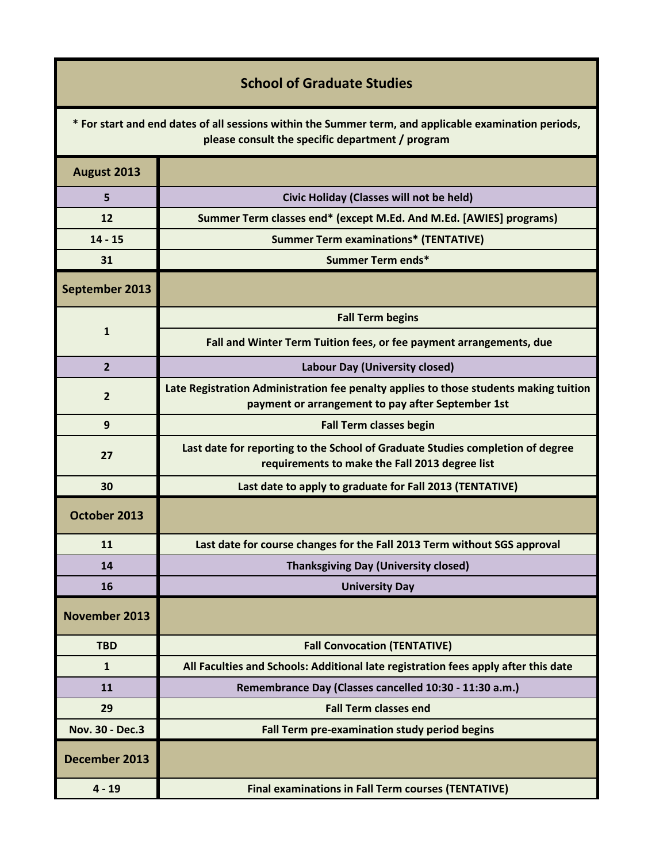|  | <b>School of Graduate Studies</b> |  |
|--|-----------------------------------|--|
|  |                                   |  |

**\* For start and end dates of all sessions within the Summer term, and applicable examination periods, please consult the specific department / program**

| August 2013          |                                                                                                                                            |  |
|----------------------|--------------------------------------------------------------------------------------------------------------------------------------------|--|
| 5                    | Civic Holiday (Classes will not be held)                                                                                                   |  |
| 12                   | Summer Term classes end* (except M.Ed. And M.Ed. [AWIES] programs)                                                                         |  |
| $14 - 15$            | <b>Summer Term examinations* (TENTATIVE)</b>                                                                                               |  |
| 31                   | Summer Term ends*                                                                                                                          |  |
| September 2013       |                                                                                                                                            |  |
| $\mathbf{1}$         | <b>Fall Term begins</b>                                                                                                                    |  |
|                      | Fall and Winter Term Tuition fees, or fee payment arrangements, due                                                                        |  |
| $\overline{2}$       | Labour Day (University closed)                                                                                                             |  |
| $\overline{2}$       | Late Registration Administration fee penalty applies to those students making tuition<br>payment or arrangement to pay after September 1st |  |
| 9                    | <b>Fall Term classes begin</b>                                                                                                             |  |
| 27                   | Last date for reporting to the School of Graduate Studies completion of degree<br>requirements to make the Fall 2013 degree list           |  |
| 30                   | Last date to apply to graduate for Fall 2013 (TENTATIVE)                                                                                   |  |
| October 2013         |                                                                                                                                            |  |
| 11                   | Last date for course changes for the Fall 2013 Term without SGS approval                                                                   |  |
| 14                   | <b>Thanksgiving Day (University closed)</b>                                                                                                |  |
| 16                   | <b>University Day</b>                                                                                                                      |  |
| <b>November 2013</b> |                                                                                                                                            |  |
| <b>TBD</b>           | <b>Fall Convocation (TENTATIVE)</b>                                                                                                        |  |
| $\mathbf{1}$         | All Faculties and Schools: Additional late registration fees apply after this date                                                         |  |
| 11                   | Remembrance Day (Classes cancelled 10:30 - 11:30 a.m.)                                                                                     |  |
| 29                   | <b>Fall Term classes end</b>                                                                                                               |  |
| Nov. 30 - Dec.3      | Fall Term pre-examination study period begins                                                                                              |  |
| December 2013        |                                                                                                                                            |  |
| $4 - 19$             | <b>Final examinations in Fall Term courses (TENTATIVE)</b>                                                                                 |  |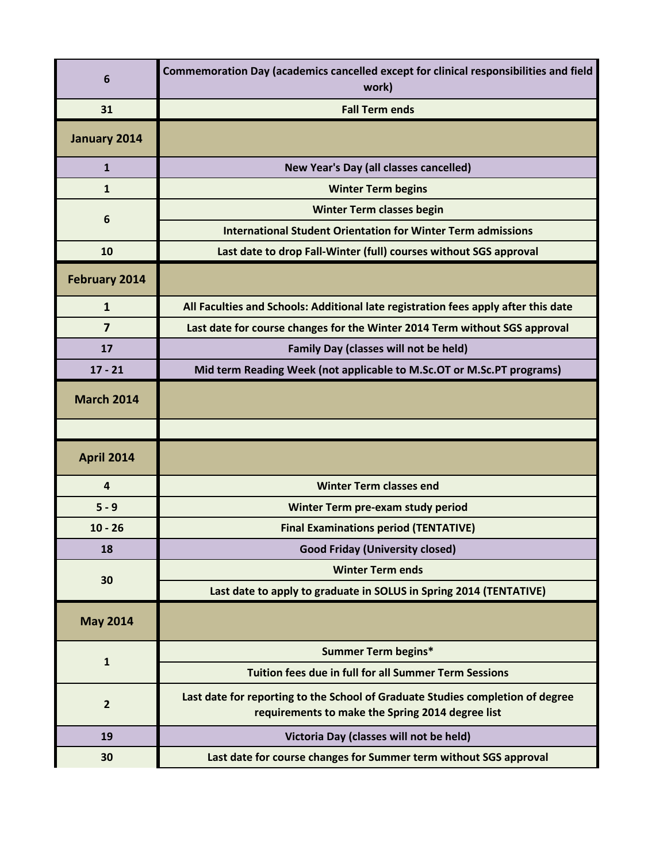| 6                       | Commemoration Day (academics cancelled except for clinical responsibilities and field<br>work)                                     |  |
|-------------------------|------------------------------------------------------------------------------------------------------------------------------------|--|
| 31                      | <b>Fall Term ends</b>                                                                                                              |  |
| January 2014            |                                                                                                                                    |  |
| $\mathbf{1}$            | New Year's Day (all classes cancelled)                                                                                             |  |
| $\mathbf{1}$            | <b>Winter Term begins</b>                                                                                                          |  |
| 6                       | <b>Winter Term classes begin</b>                                                                                                   |  |
|                         | <b>International Student Orientation for Winter Term admissions</b>                                                                |  |
| 10                      | Last date to drop Fall-Winter (full) courses without SGS approval                                                                  |  |
| February 2014           |                                                                                                                                    |  |
| $\mathbf{1}$            | All Faculties and Schools: Additional late registration fees apply after this date                                                 |  |
| $\overline{7}$          | Last date for course changes for the Winter 2014 Term without SGS approval                                                         |  |
| 17                      | <b>Family Day (classes will not be held)</b>                                                                                       |  |
| $17 - 21$               | Mid term Reading Week (not applicable to M.Sc.OT or M.Sc.PT programs)                                                              |  |
| <b>March 2014</b>       |                                                                                                                                    |  |
|                         |                                                                                                                                    |  |
| <b>April 2014</b>       |                                                                                                                                    |  |
| $\overline{\mathbf{4}}$ | <b>Winter Term classes end</b>                                                                                                     |  |
| $5 - 9$                 | Winter Term pre-exam study period                                                                                                  |  |
| $10 - 26$               | <b>Final Examinations period (TENTATIVE)</b>                                                                                       |  |
| 18                      | <b>Good Friday (University closed)</b>                                                                                             |  |
| 30                      | <b>Winter Term ends</b>                                                                                                            |  |
|                         | Last date to apply to graduate in SOLUS in Spring 2014 (TENTATIVE)                                                                 |  |
| <b>May 2014</b>         |                                                                                                                                    |  |
| $\mathbf{1}$            | <b>Summer Term begins*</b>                                                                                                         |  |
|                         | <b>Tuition fees due in full for all Summer Term Sessions</b>                                                                       |  |
| $\overline{2}$          | Last date for reporting to the School of Graduate Studies completion of degree<br>requirements to make the Spring 2014 degree list |  |
| 19                      | Victoria Day (classes will not be held)                                                                                            |  |
| 30                      | Last date for course changes for Summer term without SGS approval                                                                  |  |